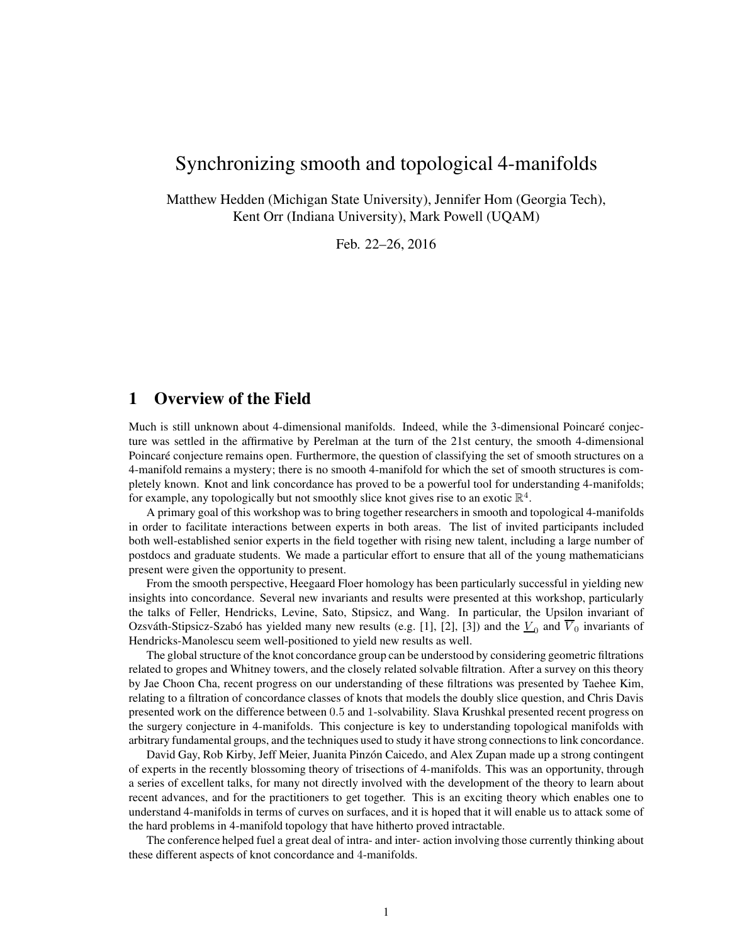# Synchronizing smooth and topological 4-manifolds

Matthew Hedden (Michigan State University), Jennifer Hom (Georgia Tech), Kent Orr (Indiana University), Mark Powell (UQAM)

Feb. 22–26, 2016

# 1 Overview of the Field

Much is still unknown about 4-dimensional manifolds. Indeed, while the 3-dimensional Poincaré conjecture was settled in the affirmative by Perelman at the turn of the 21st century, the smooth 4-dimensional Poincaré conjecture remains open. Furthermore, the question of classifying the set of smooth structures on a 4-manifold remains a mystery; there is no smooth 4-manifold for which the set of smooth structures is completely known. Knot and link concordance has proved to be a powerful tool for understanding 4-manifolds; for example, any topologically but not smoothly slice knot gives rise to an exotic  $\mathbb{R}^4$ .

A primary goal of this workshop was to bring together researchers in smooth and topological 4-manifolds in order to facilitate interactions between experts in both areas. The list of invited participants included both well-established senior experts in the field together with rising new talent, including a large number of postdocs and graduate students. We made a particular effort to ensure that all of the young mathematicians present were given the opportunity to present.

From the smooth perspective, Heegaard Floer homology has been particularly successful in yielding new insights into concordance. Several new invariants and results were presented at this workshop, particularly the talks of Feller, Hendricks, Levine, Sato, Stipsicz, and Wang. In particular, the Upsilon invariant of Ozsváth-Stipsicz-Szabó has yielded many new results (e.g. [1], [2], [3]) and the  $\underline{V}_0$  and  $V_0$  invariants of Hendricks-Manolescu seem well-positioned to yield new results as well.

The global structure of the knot concordance group can be understood by considering geometric filtrations related to gropes and Whitney towers, and the closely related solvable filtration. After a survey on this theory by Jae Choon Cha, recent progress on our understanding of these filtrations was presented by Taehee Kim, relating to a filtration of concordance classes of knots that models the doubly slice question, and Chris Davis presented work on the difference between 0.5 and 1-solvability. Slava Krushkal presented recent progress on the surgery conjecture in 4-manifolds. This conjecture is key to understanding topological manifolds with arbitrary fundamental groups, and the techniques used to study it have strong connections to link concordance.

David Gay, Rob Kirby, Jeff Meier, Juanita Pinzón Caicedo, and Alex Zupan made up a strong contingent of experts in the recently blossoming theory of trisections of 4-manifolds. This was an opportunity, through a series of excellent talks, for many not directly involved with the development of the theory to learn about recent advances, and for the practitioners to get together. This is an exciting theory which enables one to understand 4-manifolds in terms of curves on surfaces, and it is hoped that it will enable us to attack some of the hard problems in 4-manifold topology that have hitherto proved intractable.

The conference helped fuel a great deal of intra- and inter- action involving those currently thinking about these different aspects of knot concordance and 4-manifolds.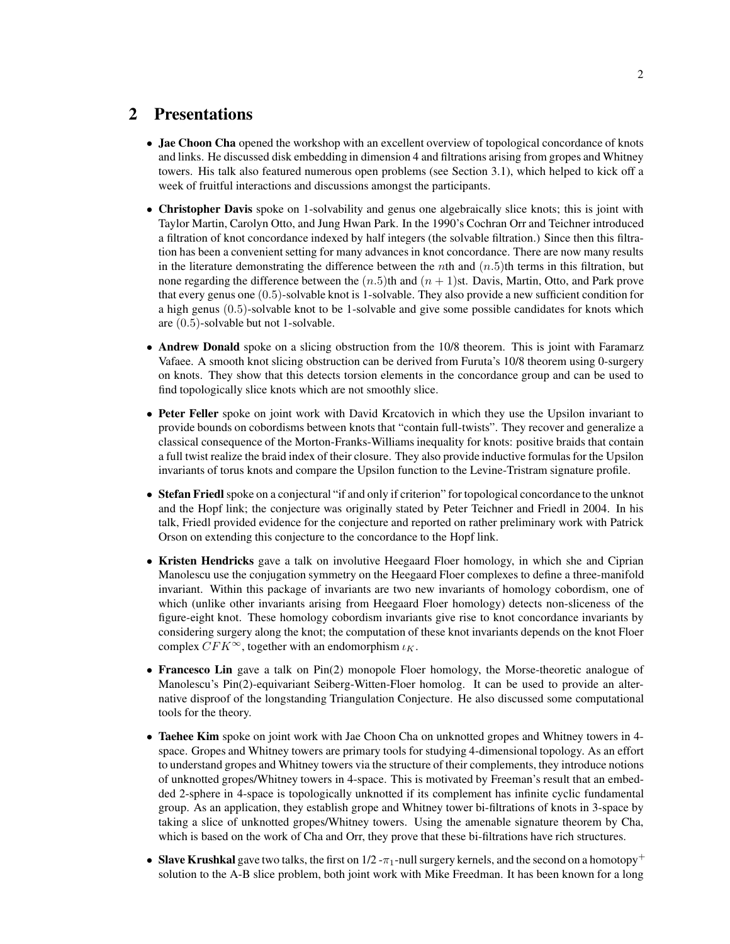# 2 Presentations

- Jae Choon Cha opened the workshop with an excellent overview of topological concordance of knots and links. He discussed disk embedding in dimension 4 and filtrations arising from gropes and Whitney towers. His talk also featured numerous open problems (see Section 3.1), which helped to kick off a week of fruitful interactions and discussions amongst the participants.
- Christopher Davis spoke on 1-solvability and genus one algebraically slice knots; this is joint with Taylor Martin, Carolyn Otto, and Jung Hwan Park. In the 1990's Cochran Orr and Teichner introduced a filtration of knot concordance indexed by half integers (the solvable filtration.) Since then this filtration has been a convenient setting for many advances in knot concordance. There are now many results in the literature demonstrating the difference between the *n*th and  $(n.5)$ th terms in this filtration, but none regarding the difference between the  $(n.5)$ th and  $(n + 1)$ st. Davis, Martin, Otto, and Park prove that every genus one (0.5)-solvable knot is 1-solvable. They also provide a new sufficient condition for a high genus (0.5)-solvable knot to be 1-solvable and give some possible candidates for knots which are (0.5)-solvable but not 1-solvable.
- Andrew Donald spoke on a slicing obstruction from the 10/8 theorem. This is joint with Faramarz Vafaee. A smooth knot slicing obstruction can be derived from Furuta's 10/8 theorem using 0-surgery on knots. They show that this detects torsion elements in the concordance group and can be used to find topologically slice knots which are not smoothly slice.
- Peter Feller spoke on joint work with David Krcatovich in which they use the Upsilon invariant to provide bounds on cobordisms between knots that "contain full-twists". They recover and generalize a classical consequence of the Morton-Franks-Williams inequality for knots: positive braids that contain a full twist realize the braid index of their closure. They also provide inductive formulas for the Upsilon invariants of torus knots and compare the Upsilon function to the Levine-Tristram signature profile.
- Stefan Friedl spoke on a conjectural "if and only if criterion" for topological concordance to the unknot and the Hopf link; the conjecture was originally stated by Peter Teichner and Friedl in 2004. In his talk, Friedl provided evidence for the conjecture and reported on rather preliminary work with Patrick Orson on extending this conjecture to the concordance to the Hopf link.
- Kristen Hendricks gave a talk on involutive Heegaard Floer homology, in which she and Ciprian Manolescu use the conjugation symmetry on the Heegaard Floer complexes to define a three-manifold invariant. Within this package of invariants are two new invariants of homology cobordism, one of which (unlike other invariants arising from Heegaard Floer homology) detects non-sliceness of the figure-eight knot. These homology cobordism invariants give rise to knot concordance invariants by considering surgery along the knot; the computation of these knot invariants depends on the knot Floer complex  $CFK^{\infty}$ , together with an endomorphism  $\iota_K$ .
- Francesco Lin gave a talk on Pin(2) monopole Floer homology, the Morse-theoretic analogue of Manolescu's Pin(2)-equivariant Seiberg-Witten-Floer homolog. It can be used to provide an alternative disproof of the longstanding Triangulation Conjecture. He also discussed some computational tools for the theory.
- Taehee Kim spoke on joint work with Jae Choon Cha on unknotted gropes and Whitney towers in 4space. Gropes and Whitney towers are primary tools for studying 4-dimensional topology. As an effort to understand gropes and Whitney towers via the structure of their complements, they introduce notions of unknotted gropes/Whitney towers in 4-space. This is motivated by Freeman's result that an embedded 2-sphere in 4-space is topologically unknotted if its complement has infinite cyclic fundamental group. As an application, they establish grope and Whitney tower bi-filtrations of knots in 3-space by taking a slice of unknotted gropes/Whitney towers. Using the amenable signature theorem by Cha, which is based on the work of Cha and Orr, they prove that these bi-filtrations have rich structures.
- Slave Krushkal gave two talks, the first on  $1/2 \pi_1$ -null surgery kernels, and the second on a homotopy<sup>+</sup> solution to the A-B slice problem, both joint work with Mike Freedman. It has been known for a long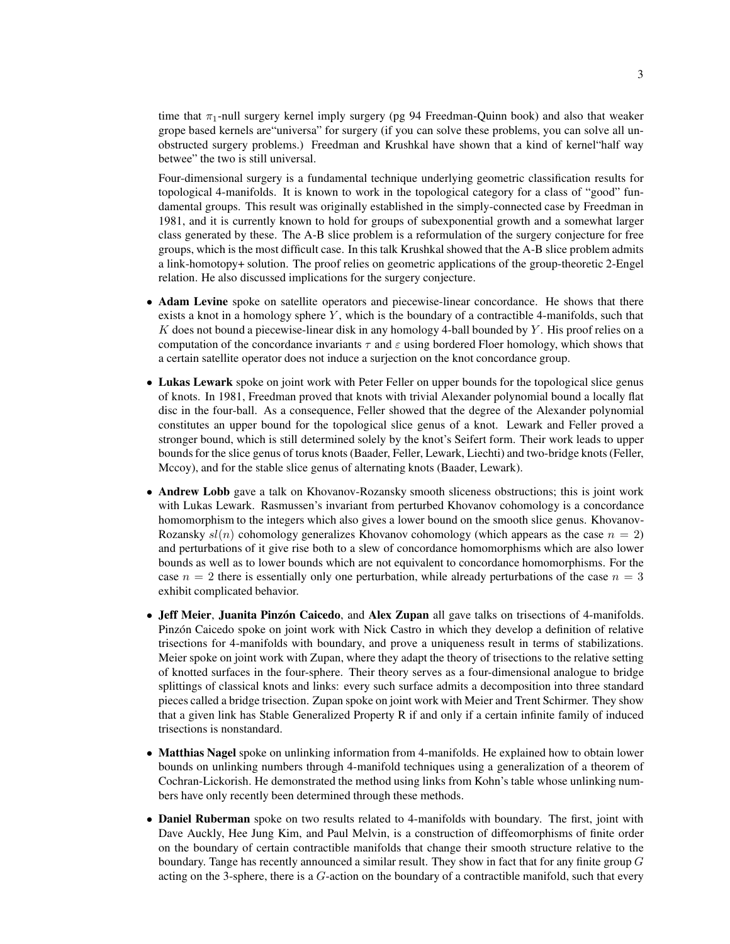time that  $\pi_1$ -null surgery kernel imply surgery (pg 94 Freedman-Quinn book) and also that weaker grope based kernels are"universa" for surgery (if you can solve these problems, you can solve all unobstructed surgery problems.) Freedman and Krushkal have shown that a kind of kernel"half way betwee" the two is still universal.

Four-dimensional surgery is a fundamental technique underlying geometric classification results for topological 4-manifolds. It is known to work in the topological category for a class of "good" fundamental groups. This result was originally established in the simply-connected case by Freedman in 1981, and it is currently known to hold for groups of subexponential growth and a somewhat larger class generated by these. The A-B slice problem is a reformulation of the surgery conjecture for free groups, which is the most difficult case. In this talk Krushkal showed that the A-B slice problem admits a link-homotopy+ solution. The proof relies on geometric applications of the group-theoretic 2-Engel relation. He also discussed implications for the surgery conjecture.

- Adam Levine spoke on satellite operators and piecewise-linear concordance. He shows that there exists a knot in a homology sphere  $Y$ , which is the boundary of a contractible 4-manifolds, such that K does not bound a piecewise-linear disk in any homology 4-ball bounded by  $Y$ . His proof relies on a computation of the concordance invariants  $\tau$  and  $\varepsilon$  using bordered Floer homology, which shows that a certain satellite operator does not induce a surjection on the knot concordance group.
- Lukas Lewark spoke on joint work with Peter Feller on upper bounds for the topological slice genus of knots. In 1981, Freedman proved that knots with trivial Alexander polynomial bound a locally flat disc in the four-ball. As a consequence, Feller showed that the degree of the Alexander polynomial constitutes an upper bound for the topological slice genus of a knot. Lewark and Feller proved a stronger bound, which is still determined solely by the knot's Seifert form. Their work leads to upper bounds for the slice genus of torus knots (Baader, Feller, Lewark, Liechti) and two-bridge knots (Feller, Mccoy), and for the stable slice genus of alternating knots (Baader, Lewark).
- Andrew Lobb gave a talk on Khovanov-Rozansky smooth sliceness obstructions; this is joint work with Lukas Lewark. Rasmussen's invariant from perturbed Khovanov cohomology is a concordance homomorphism to the integers which also gives a lower bound on the smooth slice genus. Khovanov-Rozansky  $sl(n)$  cohomology generalizes Khovanov cohomology (which appears as the case  $n = 2$ ) and perturbations of it give rise both to a slew of concordance homomorphisms which are also lower bounds as well as to lower bounds which are not equivalent to concordance homomorphisms. For the case  $n = 2$  there is essentially only one perturbation, while already perturbations of the case  $n = 3$ exhibit complicated behavior.
- Jeff Meier, Juanita Pinzón Caicedo, and Alex Zupan all gave talks on trisections of 4-manifolds. Pinzón Caicedo spoke on joint work with Nick Castro in which they develop a definition of relative trisections for 4-manifolds with boundary, and prove a uniqueness result in terms of stabilizations. Meier spoke on joint work with Zupan, where they adapt the theory of trisections to the relative setting of knotted surfaces in the four-sphere. Their theory serves as a four-dimensional analogue to bridge splittings of classical knots and links: every such surface admits a decomposition into three standard pieces called a bridge trisection. Zupan spoke on joint work with Meier and Trent Schirmer. They show that a given link has Stable Generalized Property R if and only if a certain infinite family of induced trisections is nonstandard.
- Matthias Nagel spoke on unlinking information from 4-manifolds. He explained how to obtain lower bounds on unlinking numbers through 4-manifold techniques using a generalization of a theorem of Cochran-Lickorish. He demonstrated the method using links from Kohn's table whose unlinking numbers have only recently been determined through these methods.
- Daniel Ruberman spoke on two results related to 4-manifolds with boundary. The first, joint with Dave Auckly, Hee Jung Kim, and Paul Melvin, is a construction of diffeomorphisms of finite order on the boundary of certain contractible manifolds that change their smooth structure relative to the boundary. Tange has recently announced a similar result. They show in fact that for any finite group  $G$ acting on the 3-sphere, there is a G-action on the boundary of a contractible manifold, such that every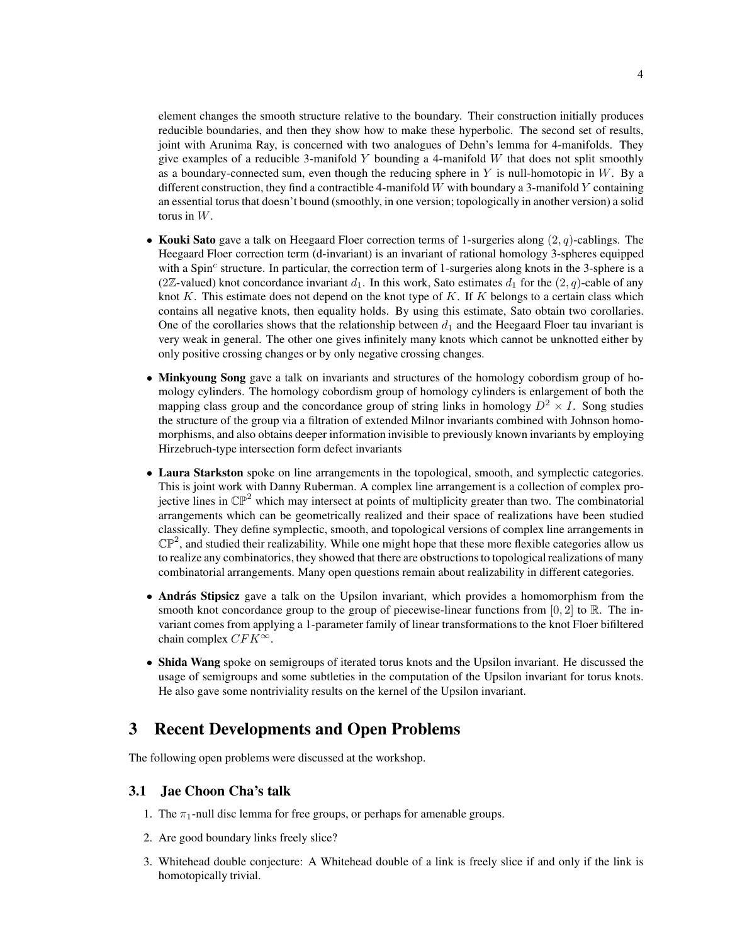element changes the smooth structure relative to the boundary. Their construction initially produces reducible boundaries, and then they show how to make these hyperbolic. The second set of results, joint with Arunima Ray, is concerned with two analogues of Dehn's lemma for 4-manifolds. They give examples of a reducible 3-manifold Y bounding a 4-manifold W that does not split smoothly as a boundary-connected sum, even though the reducing sphere in Y is null-homotopic in W. By a different construction, they find a contractible 4-manifold  $W$  with boundary a 3-manifold  $Y$  containing an essential torus that doesn't bound (smoothly, in one version; topologically in another version) a solid torus in W.

- Kouki Sato gave a talk on Heegaard Floer correction terms of 1-surgeries along  $(2, q)$ -cablings. The Heegaard Floer correction term (d-invariant) is an invariant of rational homology 3-spheres equipped with a Spin<sup>c</sup> structure. In particular, the correction term of 1-surgeries along knots in the 3-sphere is a (2Z-valued) knot concordance invariant  $d_1$ . In this work, Sato estimates  $d_1$  for the  $(2, q)$ -cable of any knot K. This estimate does not depend on the knot type of K. If K belongs to a certain class which contains all negative knots, then equality holds. By using this estimate, Sato obtain two corollaries. One of the corollaries shows that the relationship between  $d_1$  and the Heegaard Floer tau invariant is very weak in general. The other one gives infinitely many knots which cannot be unknotted either by only positive crossing changes or by only negative crossing changes.
- Minkyoung Song gave a talk on invariants and structures of the homology cobordism group of homology cylinders. The homology cobordism group of homology cylinders is enlargement of both the mapping class group and the concordance group of string links in homology  $D^2 \times I$ . Song studies the structure of the group via a filtration of extended Milnor invariants combined with Johnson homomorphisms, and also obtains deeper information invisible to previously known invariants by employing Hirzebruch-type intersection form defect invariants
- Laura Starkston spoke on line arrangements in the topological, smooth, and symplectic categories. This is joint work with Danny Ruberman. A complex line arrangement is a collection of complex projective lines in  $\mathbb{CP}^2$  which may intersect at points of multiplicity greater than two. The combinatorial arrangements which can be geometrically realized and their space of realizations have been studied classically. They define symplectic, smooth, and topological versions of complex line arrangements in  $\mathbb{CP}^2$ , and studied their realizability. While one might hope that these more flexible categories allow us to realize any combinatorics, they showed that there are obstructions to topological realizations of many combinatorial arrangements. Many open questions remain about realizability in different categories.
- András Stipsicz gave a talk on the Upsilon invariant, which provides a homomorphism from the smooth knot concordance group to the group of piecewise-linear functions from  $[0, 2]$  to  $\mathbb{R}$ . The invariant comes from applying a 1-parameter family of linear transformations to the knot Floer bifiltered chain complex  $CFK^{\infty}$ .
- Shida Wang spoke on semigroups of iterated torus knots and the Upsilon invariant. He discussed the usage of semigroups and some subtleties in the computation of the Upsilon invariant for torus knots. He also gave some nontriviality results on the kernel of the Upsilon invariant.

### 3 Recent Developments and Open Problems

The following open problems were discussed at the workshop.

#### 3.1 Jae Choon Cha's talk

- 1. The  $\pi_1$ -null disc lemma for free groups, or perhaps for amenable groups.
- 2. Are good boundary links freely slice?
- 3. Whitehead double conjecture: A Whitehead double of a link is freely slice if and only if the link is homotopically trivial.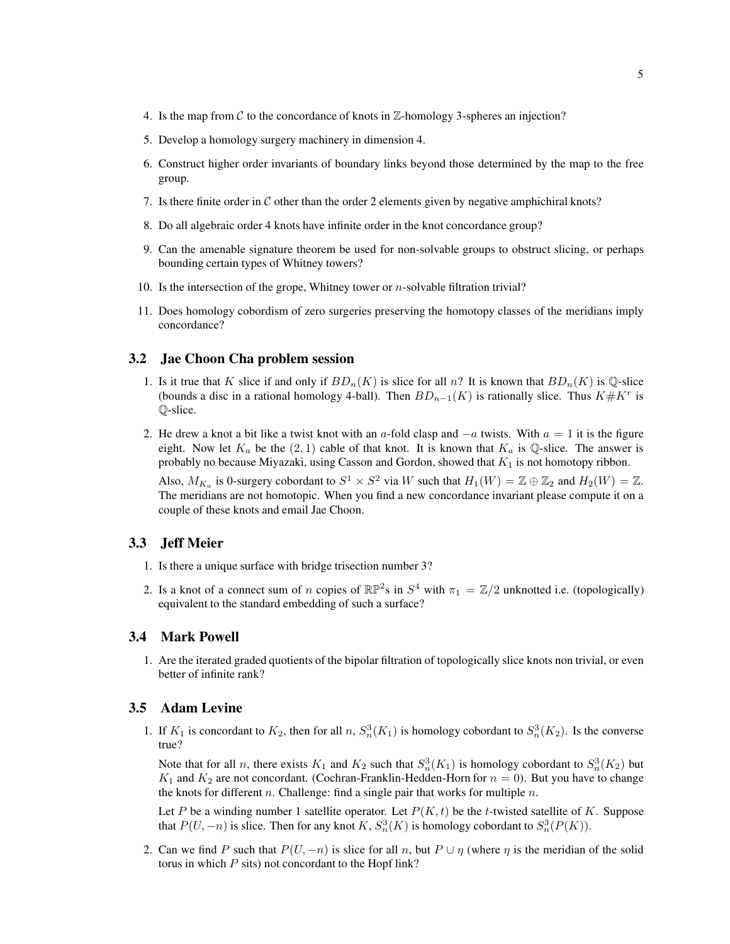- 4. Is the map from  $\mathcal C$  to the concordance of knots in  $\mathbb Z$ -homology 3-spheres an injection?
- 5. Develop a homology surgery machinery in dimension 4.
- 6. Construct higher order invariants of boundary links beyond those determined by the map to the free group.
- 7. Is there finite order in  $C$  other than the order 2 elements given by negative amphichiral knots?
- 8. Do all algebraic order 4 knots have infinite order in the knot concordance group?
- 9. Can the amenable signature theorem be used for non-solvable groups to obstruct slicing, or perhaps bounding certain types of Whitney towers?
- 10. Is the intersection of the grope, Whitney tower or  $n$ -solvable filtration trivial?
- 11. Does homology cobordism of zero surgeries preserving the homotopy classes of the meridians imply concordance?

#### 3.2 Jae Choon Cha problem session

- 1. Is it true that K slice if and only if  $BD_n(K)$  is slice for all n? It is known that  $BD_n(K)$  is Q-slice (bounds a disc in a rational homology 4-ball). Then  $BD_{n-1}(K)$  is rationally slice. Thus  $K \# K^r$  is Q-slice.
- 2. He drew a knot a bit like a twist knot with an a-fold clasp and  $-a$  twists. With  $a = 1$  it is the figure eight. Now let  $K_a$  be the  $(2, 1)$  cable of that knot. It is known that  $K_a$  is Q-slice. The answer is probably no because Miyazaki, using Casson and Gordon, showed that  $K_1$  is not homotopy ribbon.

Also,  $M_{K_a}$  is 0-surgery cobordant to  $S^1 \times S^2$  via W such that  $H_1(W) = \mathbb{Z} \oplus \mathbb{Z}_2$  and  $H_2(W) = \mathbb{Z}$ . The meridians are not homotopic. When you find a new concordance invariant please compute it on a couple of these knots and email Jae Choon.

#### 3.3 Jeff Meier

- 1. Is there a unique surface with bridge trisection number 3?
- 2. Is a knot of a connect sum of n copies of  $\mathbb{RP}^2$ s in  $S^4$  with  $\pi_1 = \mathbb{Z}/2$  unknotted i.e. (topologically) equivalent to the standard embedding of such a surface?

### 3.4 Mark Powell

1. Are the iterated graded quotients of the bipolar filtration of topologically slice knots non trivial, or even better of infinite rank?

#### 3.5 Adam Levine

1. If  $K_1$  is concordant to  $K_2$ , then for all  $n$ ,  $S_n^3(K_1)$  is homology cobordant to  $S_n^3(K_2)$ . Is the converse true?

Note that for all *n*, there exists  $K_1$  and  $K_2$  such that  $S_n^3(K_1)$  is homology cobordant to  $S_n^3(K_2)$  but  $K_1$  and  $K_2$  are not concordant. (Cochran-Franklin-Hedden-Horn for  $n = 0$ ). But you have to change the knots for different  $n$ . Challenge: find a single pair that works for multiple  $n$ .

Let P be a winding number 1 satellite operator. Let  $P(K, t)$  be the t-twisted satellite of K. Suppose that  $P(U, -n)$  is slice. Then for any knot K,  $S_n^3(K)$  is homology cobordant to  $S_n^3(P(K))$ .

2. Can we find P such that  $P(U, -n)$  is slice for all n, but  $P \cup \eta$  (where  $\eta$  is the meridian of the solid torus in which  $P$  sits) not concordant to the Hopf link?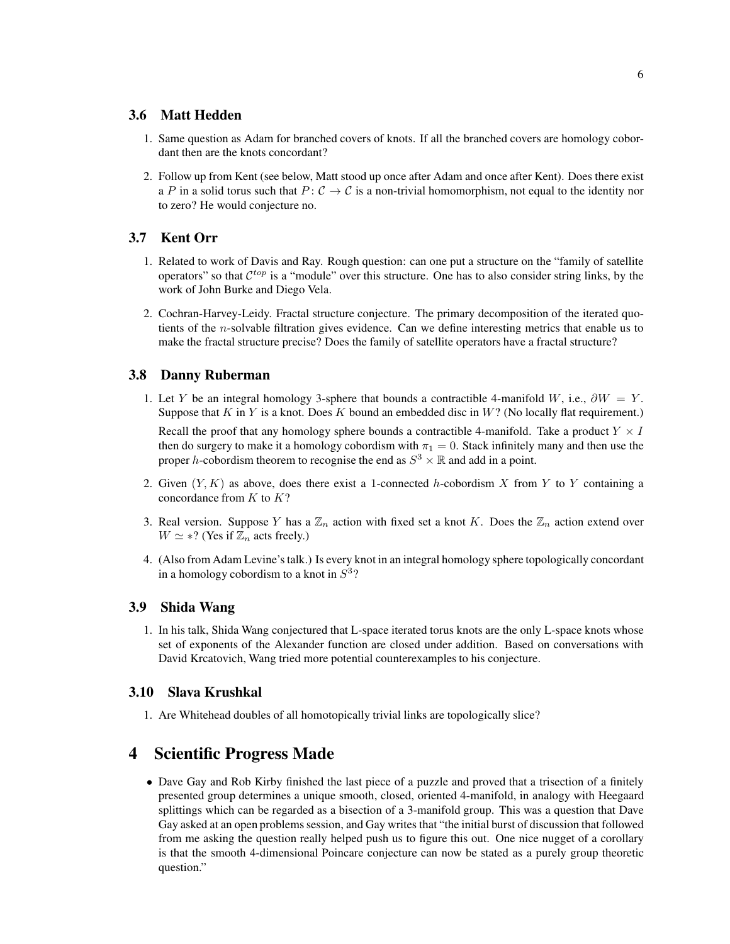#### 3.6 Matt Hedden

- 1. Same question as Adam for branched covers of knots. If all the branched covers are homology cobordant then are the knots concordant?
- 2. Follow up from Kent (see below, Matt stood up once after Adam and once after Kent). Does there exist a P in a solid torus such that  $P: \mathcal{C} \to \mathcal{C}$  is a non-trivial homomorphism, not equal to the identity nor to zero? He would conjecture no.

### 3.7 Kent Orr

- 1. Related to work of Davis and Ray. Rough question: can one put a structure on the "family of satellite operators" so that  $C^{top}$  is a "module" over this structure. One has to also consider string links, by the work of John Burke and Diego Vela.
- 2. Cochran-Harvey-Leidy. Fractal structure conjecture. The primary decomposition of the iterated quotients of the n-solvable filtration gives evidence. Can we define interesting metrics that enable us to make the fractal structure precise? Does the family of satellite operators have a fractal structure?

#### 3.8 Danny Ruberman

1. Let Y be an integral homology 3-sphere that bounds a contractible 4-manifold W, i.e.,  $\partial W = Y$ . Suppose that  $K$  in  $Y$  is a knot. Does  $K$  bound an embedded disc in  $W$ ? (No locally flat requirement.)

Recall the proof that any homology sphere bounds a contractible 4-manifold. Take a product  $Y \times I$ then do surgery to make it a homology cobordism with  $\pi_1 = 0$ . Stack infinitely many and then use the proper h-cobordism theorem to recognise the end as  $S^3 \times \mathbb{R}$  and add in a point.

- 2. Given  $(Y, K)$  as above, does there exist a 1-connected h-cobordism X from Y to Y containing a concordance from  $K$  to  $K$ ?
- 3. Real version. Suppose Y has a  $\mathbb{Z}_n$  action with fixed set a knot K. Does the  $\mathbb{Z}_n$  action extend over  $W \simeq$  \*? (Yes if  $\mathbb{Z}_n$  acts freely.)
- 4. (Also from Adam Levine's talk.) Is every knot in an integral homology sphere topologically concordant in a homology cobordism to a knot in  $S^3$ ?

#### 3.9 Shida Wang

1. In his talk, Shida Wang conjectured that L-space iterated torus knots are the only L-space knots whose set of exponents of the Alexander function are closed under addition. Based on conversations with David Krcatovich, Wang tried more potential counterexamples to his conjecture.

#### 3.10 Slava Krushkal

1. Are Whitehead doubles of all homotopically trivial links are topologically slice?

# 4 Scientific Progress Made

• Dave Gay and Rob Kirby finished the last piece of a puzzle and proved that a trisection of a finitely presented group determines a unique smooth, closed, oriented 4-manifold, in analogy with Heegaard splittings which can be regarded as a bisection of a 3-manifold group. This was a question that Dave Gay asked at an open problems session, and Gay writes that "the initial burst of discussion that followed from me asking the question really helped push us to figure this out. One nice nugget of a corollary is that the smooth 4-dimensional Poincare conjecture can now be stated as a purely group theoretic question."